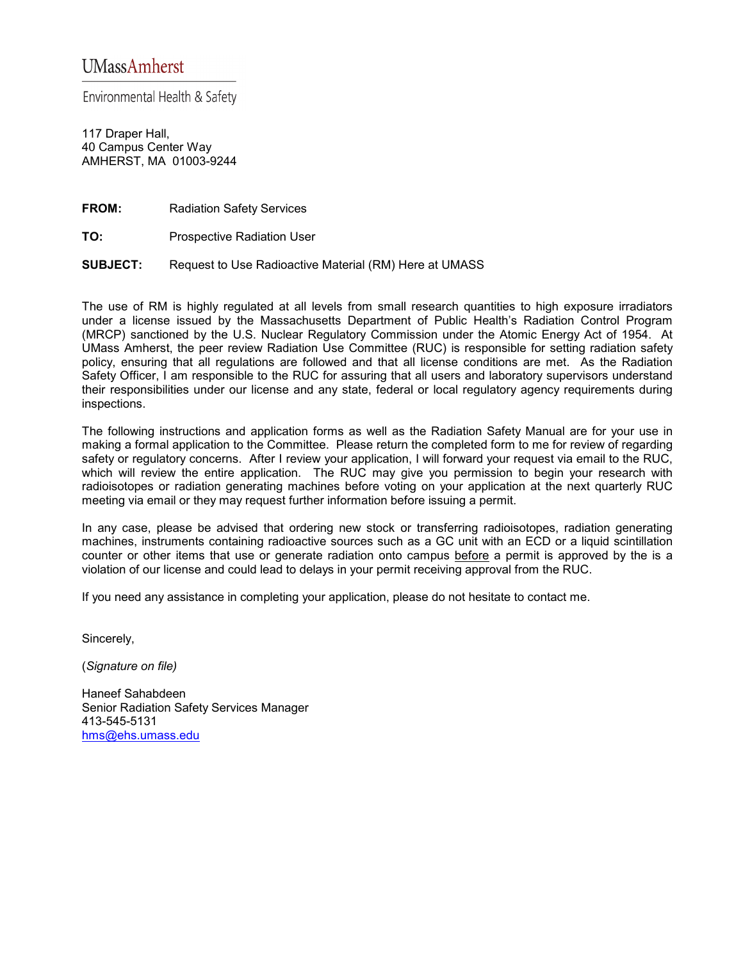Environmental Health & Safety

117 Draper Hall, 40 Campus Center Way AMHERST, MA 01003-9244

**FROM:** Radiation Safety Services

**TO:** Prospective Radiation User

**SUBJECT:** Request to Use Radioactive Material (RM) Here at UMASS

The use of RM is highly regulated at all levels from small research quantities to high exposure irradiators under a license issued by the Massachusetts Department of Public Health's Radiation Control Program (MRCP) sanctioned by the U.S. Nuclear Regulatory Commission under the Atomic Energy Act of 1954. At UMass Amherst, the peer review Radiation Use Committee (RUC) is responsible for setting radiation safety policy, ensuring that all regulations are followed and that all license conditions are met. As the Radiation Safety Officer, I am responsible to the RUC for assuring that all users and laboratory supervisors understand their responsibilities under our license and any state, federal or local regulatory agency requirements during inspections.

The following instructions and application forms as well as the Radiation Safety Manual are for your use in making a formal application to the Committee. Please return the completed form to me for review of regarding safety or regulatory concerns. After I review your application, I will forward your request via email to the RUC, which will review the entire application. The RUC may give you permission to begin your research with radioisotopes or radiation generating machines before voting on your application at the next quarterly RUC meeting via email or they may request further information before issuing a permit.

In any case, please be advised that ordering new stock or transferring radioisotopes, radiation generating machines, instruments containing radioactive sources such as a GC unit with an ECD or a liquid scintillation counter or other items that use or generate radiation onto campus before a permit is approved by the is a violation of our license and could lead to delays in your permit receiving approval from the RUC.

If you need any assistance in completing your application, please do not hesitate to contact me.

Sincerely,

(*Signature on file)*

Haneef Sahabdeen Senior Radiation Safety Services Manager 413-545-5131 [hms@ehs.umass.edu](mailto:hms@ehs.umass.edu)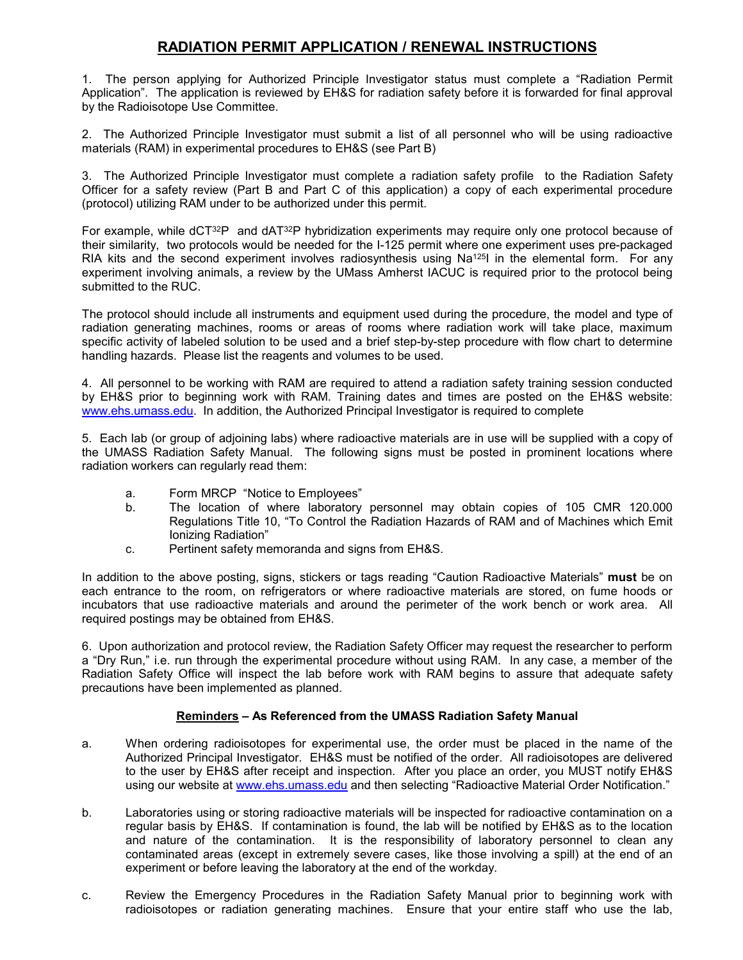# **RADIATION PERMIT APPLICATION / RENEWAL INSTRUCTIONS**

1. The person applying for Authorized Principle Investigator status must complete a "Radiation Permit Application". The application is reviewed by EH&S for radiation safety before it is forwarded for final approval by the Radioisotope Use Committee.

2. The Authorized Principle Investigator must submit a list of all personnel who will be using radioactive materials (RAM) in experimental procedures to EH&S (see Part B)

3. The Authorized Principle Investigator must complete a radiation safety profile to the Radiation Safety Officer for a safety review (Part B and Part C of this application) a copy of each experimental procedure (protocol) utilizing RAM under to be authorized under this permit.

For example, while  $dCT^{32}P$  and  $dAT^{32}P$  hybridization experiments may require only one protocol because of their similarity, two protocols would be needed for the I-125 permit where one experiment uses pre-packaged RIA kits and the second experiment involves radiosynthesis using Na<sup>125</sup>I in the elemental form. For any experiment involving animals, a review by the UMass Amherst IACUC is required prior to the protocol being submitted to the RUC.

The protocol should include all instruments and equipment used during the procedure, the model and type of radiation generating machines, rooms or areas of rooms where radiation work will take place, maximum specific activity of labeled solution to be used and a brief step-by-step procedure with flow chart to determine handling hazards. Please list the reagents and volumes to be used.

4. All personnel to be working with RAM are required to attend a radiation safety training session conducted by EH&S prior to beginning work with RAM. Training dates and times are posted on the EH&S website: [www.ehs.umass.edu.](http://www.ehs.umass.edu/) In addition, the Authorized Principal Investigator is required to complete

5. Each lab (or group of adjoining labs) where radioactive materials are in use will be supplied with a copy of the UMASS Radiation Safety Manual. The following signs must be posted in prominent locations where radiation workers can regularly read them:

- a. Form MRCP "Notice to Employees"
- b. The location of where laboratory personnel may obtain copies of 105 CMR 120.000 Regulations Title 10, "To Control the Radiation Hazards of RAM and of Machines which Emit Ionizing Radiation"
- c. Pertinent safety memoranda and signs from EH&S.

In addition to the above posting, signs, stickers or tags reading "Caution Radioactive Materials" **must** be on each entrance to the room, on refrigerators or where radioactive materials are stored, on fume hoods or incubators that use radioactive materials and around the perimeter of the work bench or work area. All required postings may be obtained from EH&S.

6. Upon authorization and protocol review, the Radiation Safety Officer may request the researcher to perform a "Dry Run," i.e. run through the experimental procedure without using RAM. In any case, a member of the Radiation Safety Office will inspect the lab before work with RAM begins to assure that adequate safety precautions have been implemented as planned.

#### **Reminders – As Referenced from the UMASS Radiation Safety Manual**

- a. When ordering radioisotopes for experimental use, the order must be placed in the name of the Authorized Principal Investigator. EH&S must be notified of the order. All radioisotopes are delivered to the user by EH&S after receipt and inspection. After you place an order, you MUST notify EH&S using our website at [www.ehs.umass.edu](http://www.ehs.umass.edu/) and then selecting "Radioactive Material Order Notification."
- b. Laboratories using or storing radioactive materials will be inspected for radioactive contamination on a regular basis by EH&S. If contamination is found, the lab will be notified by EH&S as to the location and nature of the contamination. It is the responsibility of laboratory personnel to clean any contaminated areas (except in extremely severe cases, like those involving a spill) at the end of an experiment or before leaving the laboratory at the end of the workday.
- c. Review the Emergency Procedures in the Radiation Safety Manual prior to beginning work with radioisotopes or radiation generating machines. Ensure that your entire staff who use the lab,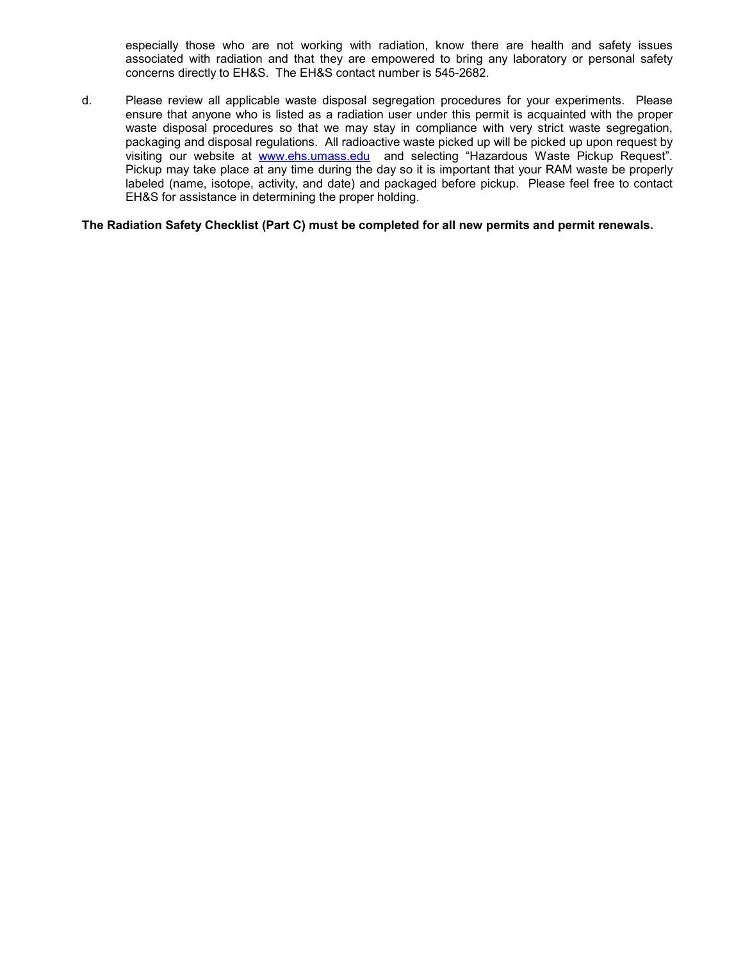especially those who are not working with radiation, know there are health and safety issues associated with radiation and that they are empowered to bring any laboratory or personal safety concerns directly to EH&S. The EH&S contact number is 545-2682.

d. Please review all applicable waste disposal segregation procedures for your experiments. Please ensure that anyone who is listed as a radiation user under this permit is acquainted with the proper waste disposal procedures so that we may stay in compliance with very strict waste segregation, packaging and disposal regulations. All radioactive waste picked up will be picked up upon request by visiting our website at [www.ehs.umass.edu](http://www.ehs.umass.edu/) and selecting "Hazardous Waste Pickup Request". Pickup may take place at any time during the day so it is important that your RAM waste be properly labeled (name, isotope, activity, and date) and packaged before pickup. Please feel free to contact EH&S for assistance in determining the proper holding.

#### **The Radiation Safety Checklist (Part C) must be completed for all new permits and permit renewals.**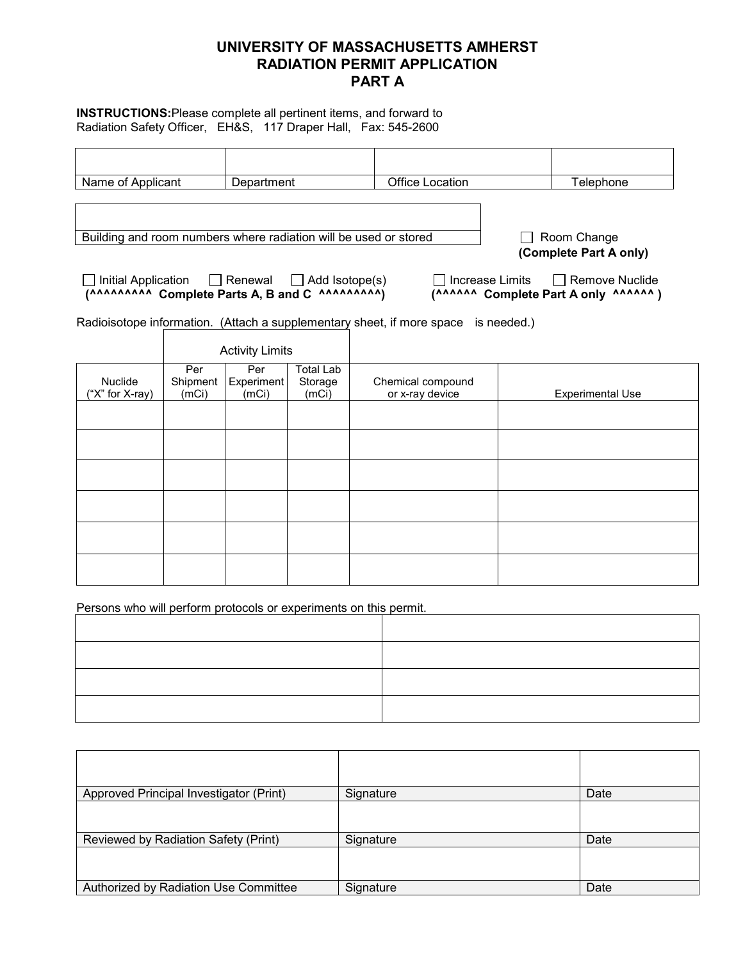# **UNIVERSITY OF MASSACHUSETTS AMHERST RADIATION PERMIT APPLICATION PART A**

**INSTRUCTIONS:**Please complete all pertinent items, and forward to Radiation Safety Officer, EH&S, 117 Draper Hall, Fax: 545-2600

| Name of Applicant                                                                                                                                               |                          | Department                 |                                      | <b>Office Location</b>               |  | Telephone                                               |
|-----------------------------------------------------------------------------------------------------------------------------------------------------------------|--------------------------|----------------------------|--------------------------------------|--------------------------------------|--|---------------------------------------------------------|
| Building and room numbers where radiation will be used or stored<br>Initial Application                                                                         |                          | $\Box$ Renewal             | Add Isotope(s)                       | Increase Limits                      |  | Room Change<br>(Complete Part A only)<br>Remove Nuclide |
| (AAAAAAAAA Complete Parts A, B and C AAAAAAAAA)<br>Radioisotope information. (Attach a supplementary sheet, if more space is needed.)<br><b>Activity Limits</b> |                          |                            |                                      |                                      |  | (AAAAAA Complete Part A only AAAAAA)                    |
| <b>Nuclide</b><br>("X" for X-ray)                                                                                                                               | Per<br>Shipment<br>(mCi) | Per<br>Experiment<br>(mCi) | <b>Total Lab</b><br>Storage<br>(mCi) | Chemical compound<br>or x-ray device |  | <b>Experimental Use</b>                                 |
|                                                                                                                                                                 |                          |                            |                                      |                                      |  |                                                         |
|                                                                                                                                                                 |                          |                            |                                      |                                      |  |                                                         |
|                                                                                                                                                                 |                          |                            |                                      |                                      |  |                                                         |
|                                                                                                                                                                 |                          |                            |                                      |                                      |  |                                                         |

Persons who will perform protocols or experiments on this permit.

| Approved Principal Investigator (Print) | Signature | Date |
|-----------------------------------------|-----------|------|
|                                         |           |      |
| Reviewed by Radiation Safety (Print)    | Signature | Date |
|                                         |           |      |
| Authorized by Radiation Use Committee   | Signature | Date |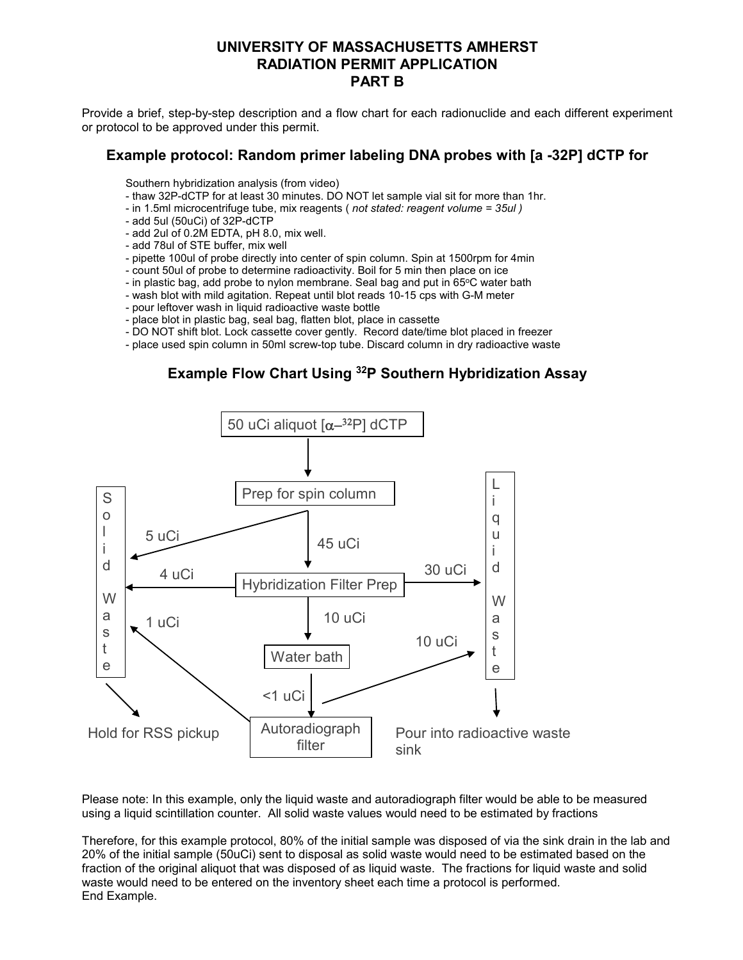# **UNIVERSITY OF MASSACHUSETTS AMHERST RADIATION PERMIT APPLICATION PART B**

Provide a brief, step-by-step description and a flow chart for each radionuclide and each different experiment or protocol to be approved under this permit.

#### **Example protocol: Random primer labeling DNA probes with [a -32P] dCTP for**

Southern hybridization analysis (from video)

- thaw 32P-dCTP for at least 30 minutes. DO NOT let sample vial sit for more than 1hr.
- in 1.5ml microcentrifuge tube, mix reagents ( *not stated: reagent volume = 35ul )*
- add 5ul (50uCi) of 32P-dCTP
- add 2ul of 0.2M EDTA, pH 8.0, mix well.
- add 78ul of STE buffer, mix well
- pipette 100ul of probe directly into center of spin column. Spin at 1500rpm for 4min
- count 50ul of probe to determine radioactivity. Boil for 5 min then place on ice
- in plastic bag, add probe to nylon membrane. Seal bag and put in 65°C water bath
- wash blot with mild agitation. Repeat until blot reads 10-15 cps with G-M meter
- pour leftover wash in liquid radioactive waste bottle
- place blot in plastic bag, seal bag, flatten blot, place in cassette
- DO NOT shift blot. Lock cassette cover gently. Record date/time blot placed in freezer
- place used spin column in 50ml screw-top tube. Discard column in dry radioactive waste

### **Example Flow Chart Using 32P Southern Hybridization Assay**



Please note: In this example, only the liquid waste and autoradiograph filter would be able to be measured using a liquid scintillation counter. All solid waste values would need to be estimated by fractions

Therefore, for this example protocol, 80% of the initial sample was disposed of via the sink drain in the lab and 20% of the initial sample (50uCi) sent to disposal as solid waste would need to be estimated based on the fraction of the original aliquot that was disposed of as liquid waste. The fractions for liquid waste and solid waste would need to be entered on the inventory sheet each time a protocol is performed. End Example.